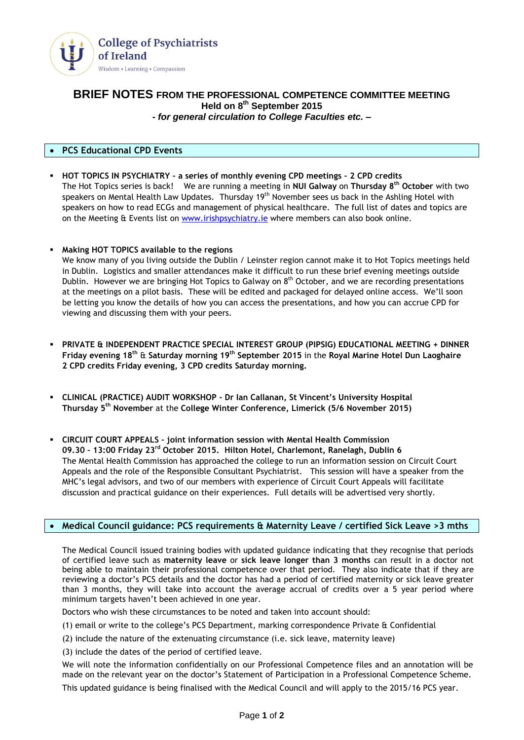

# **BRIEF NOTES FROM THE PROFESSIONAL COMPETENCE COMMITTEE MEETING Held on 8 th September 2015** *- for general circulation to College Faculties etc. –*

## **PCS Educational CPD Events**

- **HOT TOPICS IN PSYCHIATRY – a series of monthly evening CPD meetings – 2 CPD credits** The Hot Topics series is back! We are running a meeting in **NUI Galway** on **Thursday 8th October** with two speakers on Mental Health Law Updates. Thursday 19<sup>th</sup> November sees us back in the Ashling Hotel with speakers on how to read ECGs and management of physical healthcare. The full list of dates and topics are on the Meeting & Events list on [www.irishpsychiatry.ie](http://www.irishpsychiatry.ie/) where members can also book online.
- **Making HOT TOPICS available to the regions**

We know many of you living outside the Dublin / Leinster region cannot make it to Hot Topics meetings held in Dublin. Logistics and smaller attendances make it difficult to run these brief evening meetings outside Dublin. However we are bringing Hot Topics to Galway on 8<sup>th</sup> October, and we are recording presentations at the meetings on a pilot basis. These will be edited and packaged for delayed online access. We'll soon be letting you know the details of how you can access the presentations, and how you can accrue CPD for viewing and discussing them with your peers.

- **PRIVATE & INDEPENDENT PRACTICE SPECIAL INTEREST GROUP (PIPSIG) EDUCATIONAL MEETING + DINNER Friday evening 18th** & **Saturday morning 19th September 2015** in the **Royal Marine Hotel Dun Laoghaire 2 CPD credits Friday evening, 3 CPD credits Saturday morning.**
- **CLINICAL (PRACTICE) AUDIT WORKSHOP - Dr Ian Callanan, St Vincent's University Hospital Thursday 5th November** at the **College Winter Conference, Limerick (5/6 November 2015)**
- **CIRCUIT COURT APPEALS – joint information session with Mental Health Commission 09.30 – 13:00 Friday 23rd October 2015. Hilton Hotel, Charlemont, Ranelagh, Dublin 6** The Mental Health Commission has approached the college to run an information session on Circuit Court Appeals and the role of the Responsible Consultant Psychiatrist. This session will have a speaker from the MHC's legal advisors, and two of our members with experience of Circuit Court Appeals will facilitate discussion and practical guidance on their experiences. Full details will be advertised very shortly.

## **Medical Council guidance: PCS requirements & Maternity Leave / certified Sick Leave >3 mths**

The Medical Council issued training bodies with updated guidance indicating that they recognise that periods of certified leave such as **maternity leave** or **sick leave longer than 3 months** can result in a doctor not being able to maintain their professional competence over that period. They also indicate that if they are reviewing a doctor's PCS details and the doctor has had a period of certified maternity or sick leave greater than 3 months, they will take into account the average accrual of credits over a 5 year period where minimum targets haven't been achieved in one year.

Doctors who wish these circumstances to be noted and taken into account should:

(1) email or write to the college's PCS Department, marking correspondence Private & Confidential

(2) include the nature of the extenuating circumstance (i.e. sick leave, maternity leave)

(3) include the dates of the period of certified leave.

We will note the information confidentially on our Professional Competence files and an annotation will be made on the relevant year on the doctor's Statement of Participation in a Professional Competence Scheme. This updated guidance is being finalised with the Medical Council and will apply to the 2015/16 PCS year.